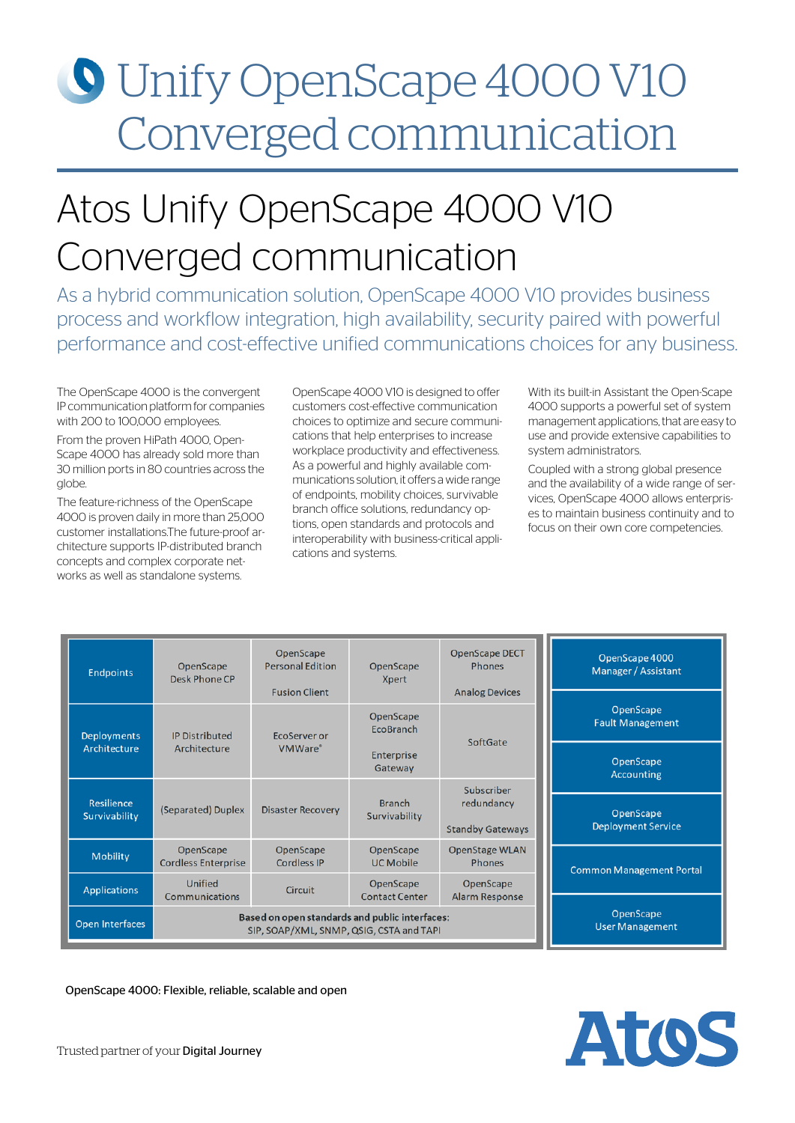# Unify OpenScape 4000 V10 Converged communication

# Atos Unify OpenScape 4000 V10 Converged communication

As a hybrid communication solution, OpenScape 4000 V10 provides business process and workflow integration, high availability, security paired with powerful performance and cost-effective unified communications choices for any business.

The OpenScape 4000 is the convergent IP communication platform for companies with 200 to 100,000 employees.

From the proven HiPath 4000, Open-Scape 4000 has already sold more than 30 million ports in 80 countries across the globe.

The feature-richness of the OpenScape 4000 is proven daily in more than 25,000 customer installations.The future-proof architecture supports IP-distributed branch concepts and complex corporate networks as well as standalone systems.

OpenScape 4000 V10 is designed to offer customers cost-effective communication choices to optimize and secure communications that help enterprises to increase workplace productivity and effectiveness. As a powerful and highly available communications solution, it offers a wide range of endpoints, mobility choices, survivable branch office solutions, redundancy options, open standards and protocols and interoperability with business-critical applications and systems.

With its built-in Assistant the Open-Scape 4000 supports a powerful set of system management applications, that are easy to use and provide extensive capabilities to system administrators.

Coupled with a strong global presence and the availability of a wide range of services, OpenScape 4000 allows enterprises to maintain business continuity and to focus on their own core competencies.

| <b>Endpoints</b>            | OpenScape<br>Desk Phone CP                                                                 | OpenScape<br><b>Personal Edition</b><br><b>Fusion Client</b> | OpenScape<br><b>Xpert</b>          | <b>OpenScape DECT</b><br><b>Phones</b><br><b>Analog Devices</b> | OpenScape 4000<br>Manager / Assistant  |  |
|-----------------------------|--------------------------------------------------------------------------------------------|--------------------------------------------------------------|------------------------------------|-----------------------------------------------------------------|----------------------------------------|--|
| <b>Deployments</b>          | <b>IP Distributed</b>                                                                      | EcoServer or                                                 | OpenScape<br>EcoBranch             |                                                                 | OpenScape<br><b>Fault Management</b>   |  |
| Architecture                | SoftGate<br>Architecture<br><b>VMWare</b> ®<br>Enterprise<br>Gateway                       |                                                              |                                    | OpenScape<br><b>Accounting</b>                                  |                                        |  |
| Resilience<br>Survivability | (Separated) Duplex                                                                         | <b>Disaster Recovery</b>                                     | <b>Branch</b><br>Survivability     | Subscriber<br>redundancy<br><b>Standby Gateways</b>             | OpenScape<br><b>Deployment Service</b> |  |
| <b>Mobility</b>             | OpenScape<br><b>Cordless Enterprise</b>                                                    | OpenScape<br>Cordless IP                                     | OpenScape<br><b>UC Mobile</b>      | <b>OpenStage WLAN</b><br><b>Phones</b>                          | <b>Common Management Portal</b>        |  |
| <b>Applications</b>         | Unified<br>Communications                                                                  | <b>Circuit</b>                                               | OpenScape<br><b>Contact Center</b> | OpenScape<br>Alarm Response                                     |                                        |  |
| Open Interfaces             | Based on open standards and public interfaces:<br>SIP, SOAP/XML, SNMP, QSIG, CSTA and TAPI |                                                              |                                    |                                                                 | OpenScape<br><b>User Management</b>    |  |

OpenScape 4000: Flexible, reliable, scalable and open

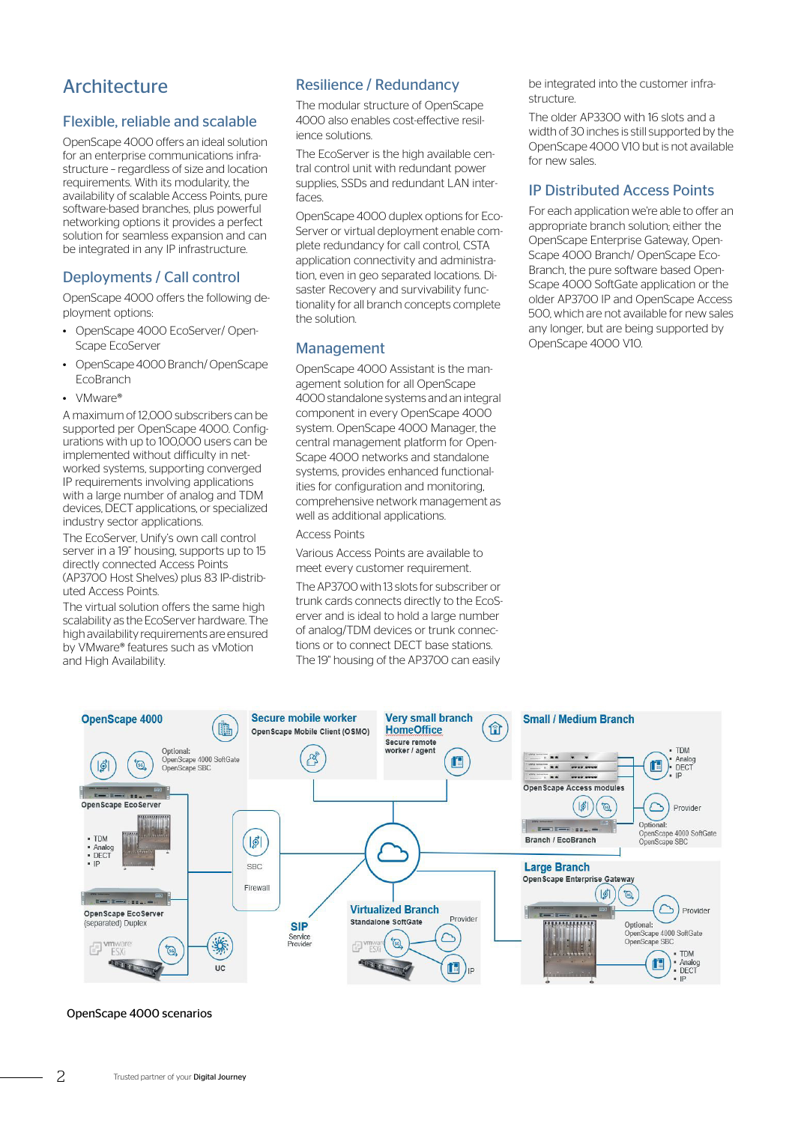# **Architecture**

### Flexible, reliable and scalable

OpenScape 4000 offers an ideal solution for an enterprise communications infrastructure – regardless of size and location requirements. With its modularity, the availability of scalable Access Points, pure software-based branches, plus powerful networking options it provides a perfect solution for seamless expansion and can be integrated in any IP infrastructure.

#### Deployments / Call control

OpenScape 4000 offers the following deployment options:

- OpenScape 4000 EcoServer/ Open-Scape EcoServer
- OpenScape 4000 Branch/ OpenScape EcoBranch
- VMware®

A maximum of 12,000 subscribers can be supported per OpenScape 4000. Configurations with up to 100,000 users can be implemented without difficulty in networked systems, supporting converged IP requirements involving applications with a large number of analog and TDM devices, DECT applications, or specialized industry sector applications.

The EcoServer, Unify's own call control server in a 19" housing, supports up to 15 directly connected Access Points (AP3700 Host Shelves) plus 83 IP-distributed Access Points.

The virtual solution offers the same high scalability as the EcoServer hardware. The high availability requirements are ensured by VMware® features such as vMotion and High Availability.

## Resilience / Redundancy

The modular structure of OpenScape 4000 also enables cost-effective resilience solutions.

The EcoServer is the high available central control unit with redundant power supplies, SSDs and redundant LAN interfaces.

OpenScape 4000 duplex options for Eco-Server or virtual deployment enable complete redundancy for call control, CSTA application connectivity and administration, even in geo separated locations. Disaster Recovery and survivability functionality for all branch concepts complete the solution.

#### **Management**

OpenScape 4000 Assistant is the management solution for all OpenScape 4000 standalone systems and an integral component in every OpenScape 4000 system. OpenScape 4000 Manager, the central management platform for Open-Scape 4000 networks and standalone systems, provides enhanced functionalities for configuration and monitoring, comprehensive network management as well as additional applications.

#### Access Points

Various Access Points are available to meet every customer requirement.

The AP3700 with 13 slots for subscriber or trunk cards connects directly to the EcoServer and is ideal to hold a large number of analog/TDM devices or trunk connections or to connect DECT base stations. The 19" housing of the AP3700 can easily

be integrated into the customer infrastructure.

The older AP3300 with 16 slots and a width of 30 inches is still supported by the OpenScape 4000 V10 but is not available for new sales.

#### IP Distributed Access Points

For each application we're able to offer an appropriate branch solution; either the OpenScape Enterprise Gateway, Open-Scape 4000 Branch/ OpenScape Eco-Branch, the pure software based Open-Scape 4000 SoftGate application or the older AP3700 IP and OpenScape Access 500, which are not available for new sales any longer, but are being supported by OpenScape 4000 V10.



#### OpenScape 4000 scenarios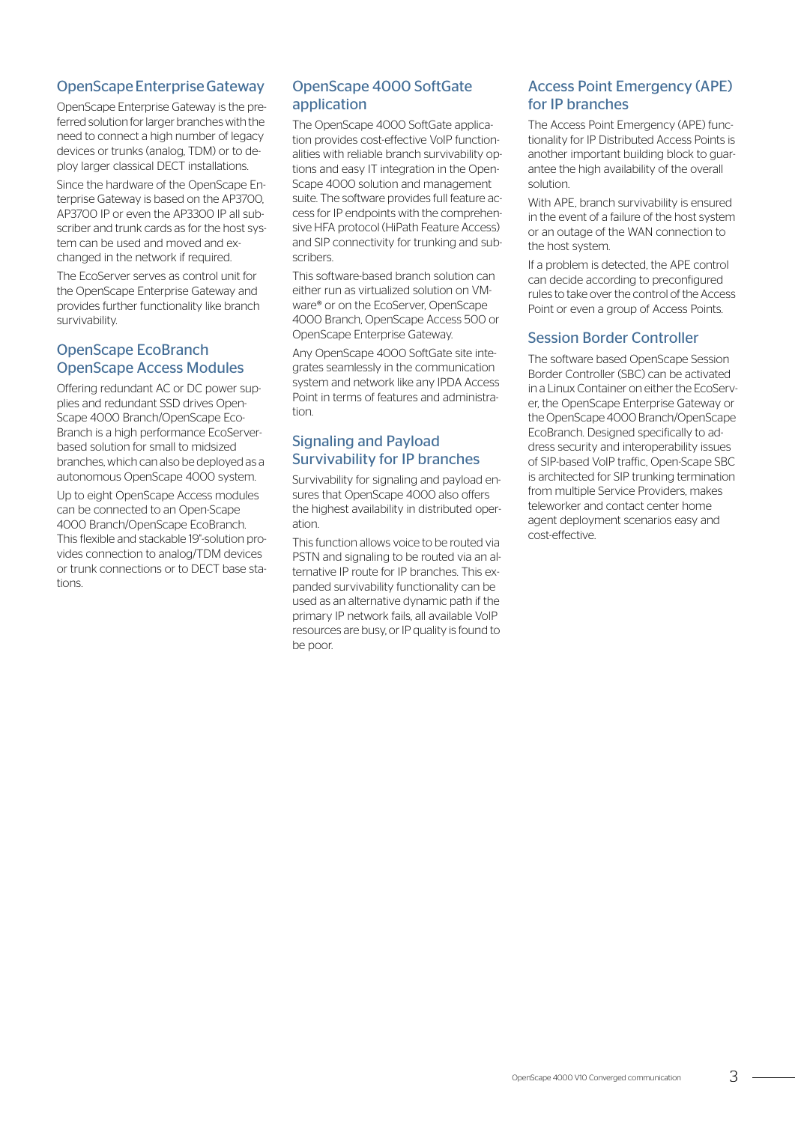# OpenScape Enterprise Gateway

OpenScape Enterprise Gateway is the preferred solution for larger branches with the need to connect a high number of legacy devices or trunks (analog, TDM) or to deploy larger classical DECT installations.

Since the hardware of the OpenScape Enterprise Gateway is based on the AP3700, AP3700 IP or even the AP3300 IP all subscriber and trunk cards as for the host system can be used and moved and exchanged in the network if required.

The EcoServer serves as control unit for the OpenScape Enterprise Gateway and provides further functionality like branch survivability.

## OpenScape EcoBranch OpenScape Access Modules

Offering redundant AC or DC power supplies and redundant SSD drives Open-Scape 4000 Branch/OpenScape Eco-Branch is a high performance EcoServerbased solution for small to midsized branches, which can also be deployed as a autonomous OpenScape 4000 system.

Up to eight OpenScape Access modules can be connected to an Open-Scape 4000 Branch/OpenScape EcoBranch. This flexible and stackable 19"-solution provides connection to analog/TDM devices or trunk connections or to DECT base stations.

# OpenScape 4000 SoftGate application

The OpenScape 4000 SoftGate application provides cost-effective VoIP functionalities with reliable branch survivability options and easy IT integration in the Open-Scape 4000 solution and management suite. The software provides full feature access for IP endpoints with the comprehensive HFA protocol (HiPath Feature Access) and SIP connectivity for trunking and subscribers.

This software-based branch solution can either run as virtualized solution on VMware® or on the EcoServer, OpenScape 4000 Branch, OpenScape Access 500 or OpenScape Enterprise Gateway.

Any OpenScape 4000 SoftGate site integrates seamlessly in the communication system and network like any IPDA Access Point in terms of features and administration.

# Signaling and Payload Survivability for IP branches

Survivability for signaling and payload ensures that OpenScape 4000 also offers the highest availability in distributed operation.

This function allows voice to be routed via PSTN and signaling to be routed via an alternative IP route for IP branches. This expanded survivability functionality can be used as an alternative dynamic path if the primary IP network fails, all available VoIP resources are busy, or IP quality is found to be poor.

# Access Point Emergency (APE) for IP branches

The Access Point Emergency (APE) functionality for IP Distributed Access Points is another important building block to guarantee the high availability of the overall solution.

With APE, branch survivability is ensured in the event of a failure of the host system or an outage of the WAN connection to the host system.

If a problem is detected, the APE control can decide according to preconfigured rules to take over the control of the Access Point or even a group of Access Points.

## Session Border Controller

The software based OpenScape Session Border Controller (SBC) can be activated in a Linux Container on either the EcoServer, the OpenScape Enterprise Gateway or the OpenScape 4000 Branch/OpenScape EcoBranch. Designed specifically to address security and interoperability issues of SIP-based VoIP traffic, Open-Scape SBC is architected for SIP trunking termination from multiple Service Providers, makes teleworker and contact center home agent deployment scenarios easy and cost-effective.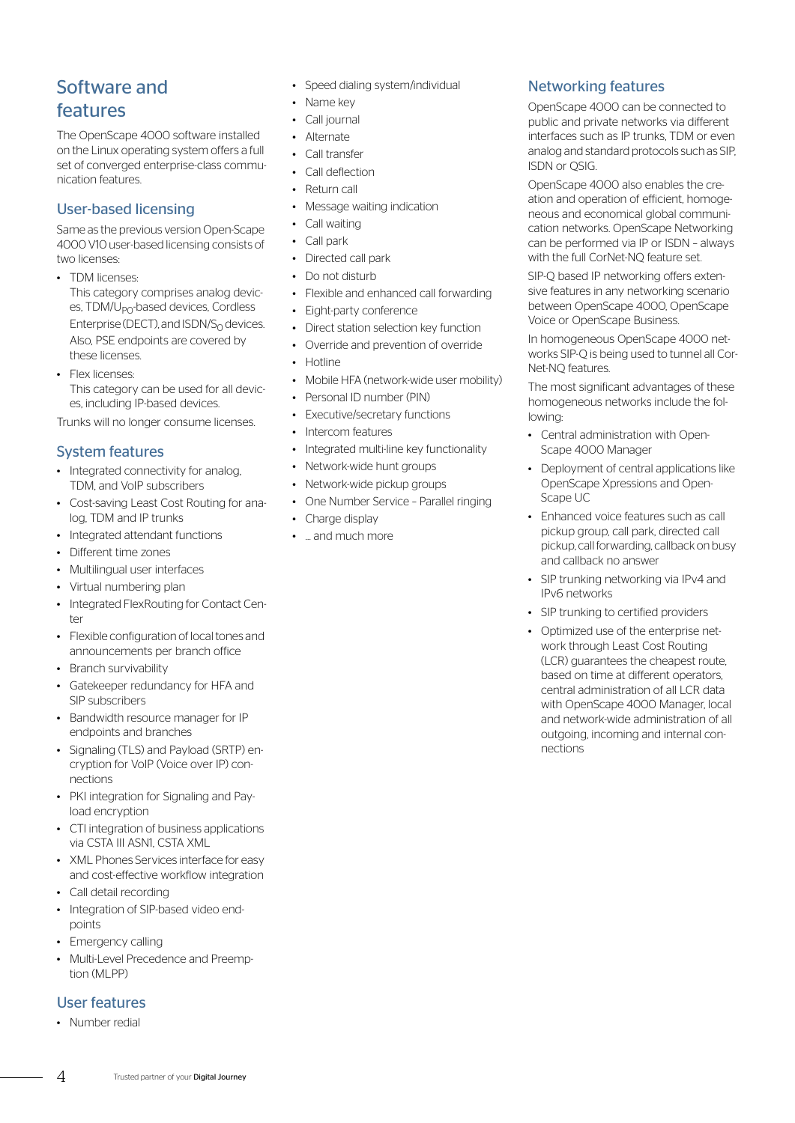# Software and features

The OpenScape 4000 software installed on the Linux operating system offers a full set of converged enterprise-class communication features.

## User-based licensing

Same as the previous version Open-Scape 4000 V10 user-based licensing consists of two licenses

- TDM licenses: This category comprises analog devices, TDM/U<sub>PO</sub>-based devices, Cordless Enterprise (DECT), and  $ISDN/S<sub>0</sub>$  devices. Also, PSE endpoints are covered by these licenses.
- Flex licenses: This category can be used for all devices, including IP-based devices.

Trunks will no longer consume licenses.

# System features

- Integrated connectivity for analog, TDM, and VoIP subscribers
- Cost-saving Least Cost Routing for analog, TDM and IP trunks
- Integrated attendant functions
- Different time zones
- Multilingual user interfaces
- Virtual numbering plan
- Integrated FlexRouting for Contact Center
- Flexible configuration of local tones and announcements per branch office
- Branch survivability
- Gatekeeper redundancy for HFA and SIP subscribers
- Bandwidth resource manager for IP endpoints and branches
- Signaling (TLS) and Payload (SRTP) encryption for VoIP (Voice over IP) connections
- PKI integration for Signaling and Payload encryption
- CTI integration of business applications via CSTA III ASN1, CSTA XML
- XML Phones Services interface for easy and cost-effective workflow integration
- Call detail recording
- Integration of SIP-based video endpoints
- Emergency calling
- Multi-Level Precedence and Preemption (MLPP)

## User features

• Number redial

- Speed dialing system/individual
- Name key
- Call journal
- Alternate
- Call transfer
- Call deflection
- Return call
- Message waiting indication
- Call waiting
- Call park
- Directed call park
- Do not disturb
- Flexible and enhanced call forwarding
- Eight-party conference
- Direct station selection key function
- Override and prevention of override
- Hotline
- Mobile HFA (network-wide user mobility)
- Personal ID number (PIN)
- **Executive/secretary functions**
- Intercom features
- Integrated multi-line key functionality
- Network-wide hunt groups
- Network-wide pickup groups
- One Number Service Parallel ringing
- Charge display
- … and much more

# Networking features

OpenScape 4000 can be connected to public and private networks via different interfaces such as IP trunks, TDM or even analog and standard protocols such as SIP, ISDN or QSIG.

OpenScape 4000 also enables the creation and operation of efficient, homogeneous and economical global communication networks. OpenScape Networking can be performed via IP or ISDN – always with the full CorNet-NQ feature set.

SIP-Q based IP networking offers extensive features in any networking scenario between OpenScape 4000, OpenScape Voice or OpenScape Business.

In homogeneous OpenScape 4000 networks SIP-Q is being used to tunnel all Cor-Net-NQ features.

The most significant advantages of these homogeneous networks include the following:

- Central administration with Open-Scape 4000 Manager
- Deployment of central applications like OpenScape Xpressions and Open-Scape UC
- Enhanced voice features such as call pickup group, call park, directed call pickup, call forwarding, callback on busy and callback no answer
- SIP trunking networking via IPv4 and IPv6 networks
- SIP trunking to certified providers
- Optimized use of the enterprise network through Least Cost Routing (LCR) guarantees the cheapest route, based on time at different operators, central administration of all LCR data with OpenScape 4000 Manager, local and network-wide administration of all outgoing, incoming and internal connections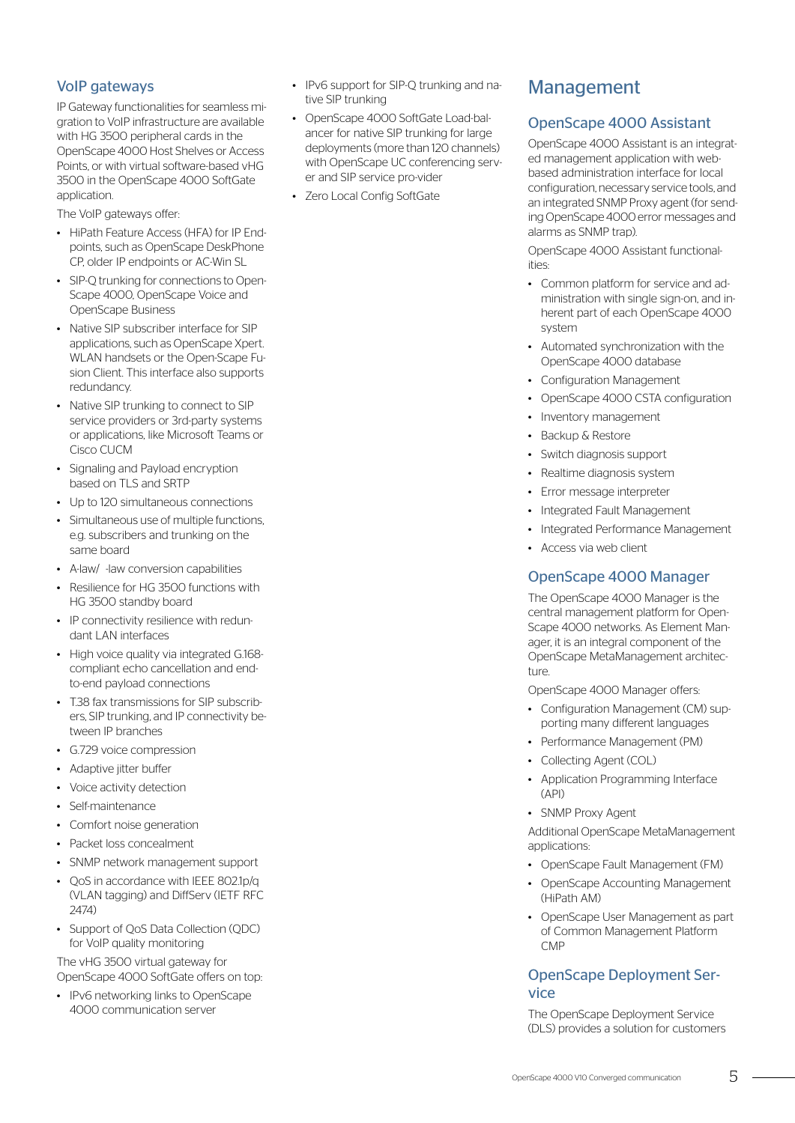# VoIP gateways

IP Gateway functionalities for seamless migration to VoIP infrastructure are available with HG 3500 peripheral cards in the OpenScape 4000 Host Shelves or Access Points, or with virtual software-based vHG 3500 in the OpenScape 4000 SoftGate application.

The VoIP gateways offer:

- HiPath Feature Access (HFA) for IP Endpoints, such as OpenScape DeskPhone CP, older IP endpoints or AC-Win SL
- SIP-Q trunking for connections to Open-Scape 4000, OpenScape Voice and OpenScape Business
- Native SIP subscriber interface for SIP applications, such as OpenScape Xpert. WLAN handsets or the Open-Scape Fusion Client. This interface also supports redundancy.
- Native SIP trunking to connect to SIP service providers or 3rd-party systems or applications, like Microsoft Teams or Cisco CUCM
- Signaling and Payload encryption based on TLS and SRTP
- Up to 120 simultaneous connections
- Simultaneous use of multiple functions, e.g. subscribers and trunking on the same board
- A-law/ -law conversion capabilities
- Resilience for HG 3500 functions with HG 3500 standby board
- IP connectivity resilience with redundant LAN interfaces
- High voice quality via integrated G.168 compliant echo cancellation and endto-end payload connections
- T.38 fax transmissions for SIP subscribers, SIP trunking, and IP connectivity between IP branches
- G.729 voice compression
- Adaptive jitter buffer
- Voice activity detection
- Self-maintenance
- Comfort noise generation
- Packet loss concealment
- SNMP network management support
- QoS in accordance with IEEE 802.1p/q (VLAN tagging) and DiffServ (IETF RFC 2474)
- Support of QoS Data Collection (QDC) for VoIP quality monitoring

The vHG 3500 virtual gateway for OpenScape 4000 SoftGate offers on top:

• IPv6 networking links to OpenScape 4000 communication server

- IPv6 support for SIP-Q trunking and native SIP trunking
- OpenScape 4000 SoftGate Load-balancer for native SIP trunking for large deployments (more than 120 channels) with OpenScape UC conferencing server and SIP service pro-vider
- Zero Local Config SoftGate

# Management

# OpenScape 4000 Assistant

OpenScape 4000 Assistant is an integrated management application with webbased administration interface for local configuration, necessary service tools, and an integrated SNMP Proxy agent (for sending OpenScape 4000 error messages and alarms as SNMP trap).

OpenScape 4000 Assistant functionalities:

- Common platform for service and administration with single sign-on, and inherent part of each OpenScape 4000 system
- Automated synchronization with the OpenScape 4000 database
- Configuration Management
- OpenScape 4000 CSTA configuration
- Inventory management
- Backup & Restore
- Switch diagnosis support
- Realtime diagnosis system
- Error message interpreter
- Integrated Fault Management
- Integrated Performance Management
- Access via web client

# OpenScape 4000 Manager

The OpenScape 4000 Manager is the central management platform for Open-Scape 4000 networks. As Element Manager, it is an integral component of the OpenScape MetaManagement architecture.

OpenScape 4000 Manager offers:

- Configuration Management (CM) supporting many different languages
- Performance Management (PM)
- Collecting Agent (COL)
- Application Programming Interface (API)
- SNMP Proxy Agent

Additional OpenScape MetaManagement applications:

- OpenScape Fault Management (FM)
- OpenScape Accounting Management (HiPath AM)
- OpenScape User Management as part of Common Management Platform CMP

# OpenScape Deployment Service

The OpenScape Deployment Service (DLS) provides a solution for customers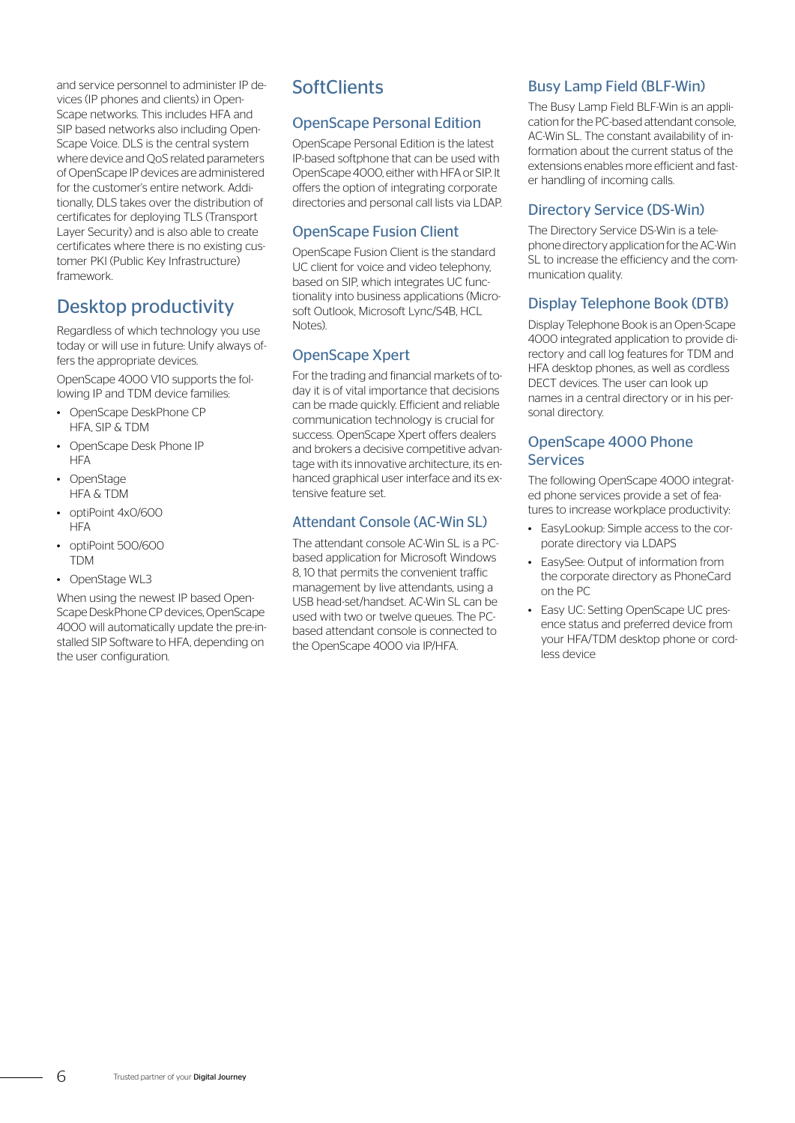and service personnel to administer IP devices (IP phones and clients) in Open-Scape networks. This includes HFA and SIP based networks also including Open-Scape Voice. DLS is the central system where device and QoS related parameters of OpenScape IP devices are administered for the customer's entire network. Additionally, DLS takes over the distribution of certificates for deploying TLS (Transport Layer Security) and is also able to create certificates where there is no existing customer PKI (Public Key Infrastructure) framework.

# Desktop productivity

Regardless of which technology you use today or will use in future: Unify always offers the appropriate devices. OpenScape 4000 V10 supports the fol-

- lowing IP and TDM device families: • OpenScape DeskPhone CP HFA, SIP & TDM
- OpenScape Desk Phone IP **HFA**
- OpenStage HFA & TDM
- optiPoint 4x0/600 **HFA**
- optiPoint 500/600 TDM
- OpenStage WL3

When using the newest IP based Open-Scape DeskPhone CP devices, OpenScape 4000 will automatically update the pre-installed SIP Software to HFA, depending on the user configuration.

# **SoftClients**

# OpenScape Personal Edition

OpenScape Personal Edition is the latest IP-based softphone that can be used with OpenScape 4000, either with HFA or SIP. It offers the option of integrating corporate directories and personal call lists via LDAP.

# OpenScape Fusion Client

OpenScape Fusion Client is the standard UC client for voice and video telephony, based on SIP, which integrates UC functionality into business applications (Microsoft Outlook, Microsoft Lync/S4B, HCL Notes).

# OpenScape Xpert

For the trading and financial markets of today it is of vital importance that decisions can be made quickly. Efficient and reliable communication technology is crucial for success. OpenScape Xpert offers dealers and brokers a decisive competitive advantage with its innovative architecture, its enhanced graphical user interface and its extensive feature set.

# Attendant Console (AC-Win SL)

The attendant console AC-Win SL is a PCbased application for Microsoft Windows 8, 10 that permits the convenient traffic management by live attendants, using a USB head-set/handset. AC-Win SL can be used with two or twelve queues. The PCbased attendant console is connected to the OpenScape 4000 via IP/HFA.

# Busy Lamp Field (BLF-Win)

The Busy Lamp Field BLF-Win is an application for the PC-based attendant console, AC-Win SL. The constant availability of information about the current status of the extensions enables more efficient and faster handling of incoming calls.

# Directory Service (DS-Win)

The Directory Service DS-Win is a telephone directory application for the AC-Win SL to increase the efficiency and the communication quality.

# Display Telephone Book (DTB)

Display Telephone Book is an Open-Scape 4000 integrated application to provide directory and call log features for TDM and HFA desktop phones, as well as cordless DECT devices. The user can look up names in a central directory or in his personal directory.

# OpenScape 4000 Phone **Services**

The following OpenScape 4000 integrated phone services provide a set of features to increase workplace productivity:

- EasyLookup: Simple access to the corporate directory via LDAPS
- EasySee: Output of information from the corporate directory as PhoneCard on the PC
- Easy UC: Setting OpenScape UC presence status and preferred device from your HFA/TDM desktop phone or cordless device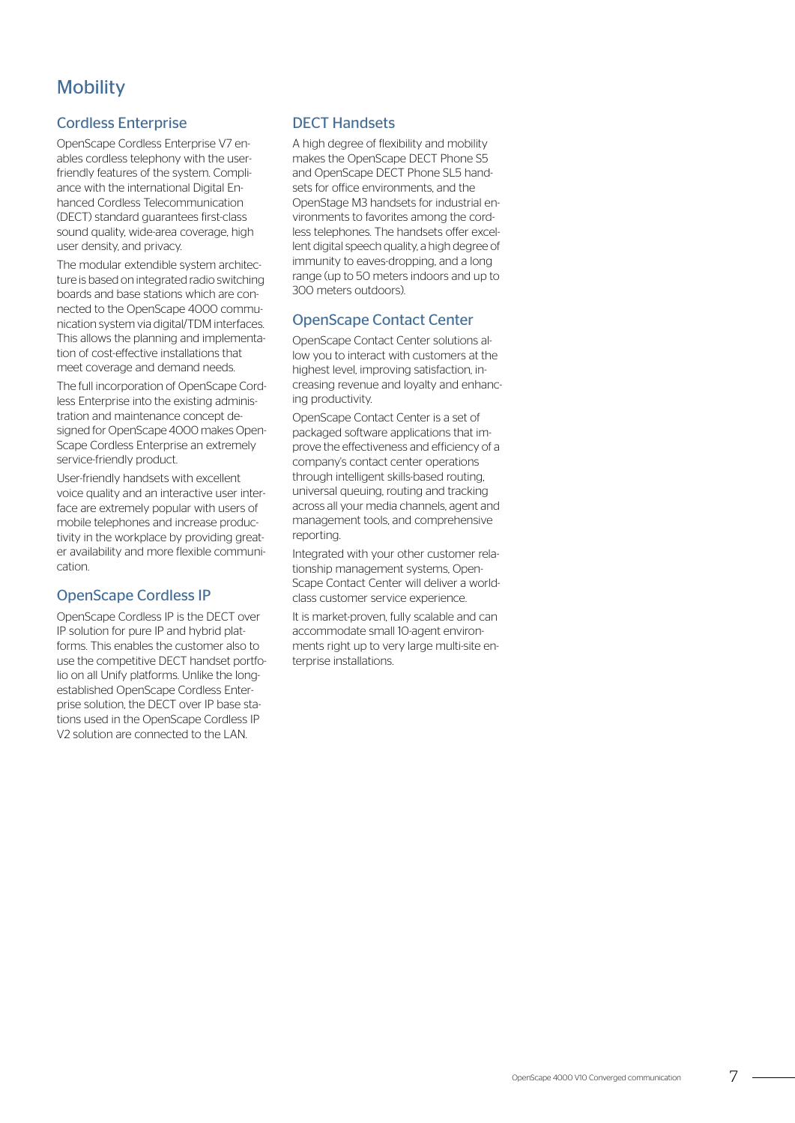# **Mobility**

#### Cordless Enterprise

OpenScape Cordless Enterprise V7 enables cordless telephony with the userfriendly features of the system. Compliance with the international Digital Enhanced Cordless Telecommunication (DECT) standard guarantees first-class sound quality, wide-area coverage, high user density, and privacy.

The modular extendible system architecture is based on integrated radio switching boards and base stations which are connected to the OpenScape 4000 communication system via digital/TDM interfaces. This allows the planning and implementation of cost-effective installations that meet coverage and demand needs.

The full incorporation of OpenScape Cordless Enterprise into the existing administration and maintenance concept designed for OpenScape 4000 makes Open-Scape Cordless Enterprise an extremely service-friendly product.

User-friendly handsets with excellent voice quality and an interactive user interface are extremely popular with users of mobile telephones and increase productivity in the workplace by providing greater availability and more flexible communication.

#### OpenScape Cordless IP

OpenScape Cordless IP is the DECT over IP solution for pure IP and hybrid platforms. This enables the customer also to use the competitive DECT handset portfolio on all Unify platforms. Unlike the longestablished OpenScape Cordless Enterprise solution, the DECT over IP base stations used in the OpenScape Cordless IP V2 solution are connected to the LAN.

#### DECT Handsets

A high degree of flexibility and mobility makes the OpenScape DECT Phone S5 and OpenScape DECT Phone SL5 handsets for office environments, and the OpenStage M3 handsets for industrial environments to favorites among the cordless telephones. The handsets offer excellent digital speech quality, a high degree of immunity to eaves-dropping, and a long range (up to 50 meters indoors and up to 300 meters outdoors).

#### OpenScape Contact Center

OpenScape Contact Center solutions allow you to interact with customers at the highest level, improving satisfaction, increasing revenue and loyalty and enhancing productivity.

OpenScape Contact Center is a set of packaged software applications that improve the effectiveness and efficiency of a company's contact center operations through intelligent skills-based routing, universal queuing, routing and tracking across all your media channels, agent and management tools, and comprehensive reporting.

Integrated with your other customer relationship management systems, Open-Scape Contact Center will deliver a worldclass customer service experience.

It is market-proven, fully scalable and can accommodate small 10-agent environments right up to very large multi-site enterprise installations.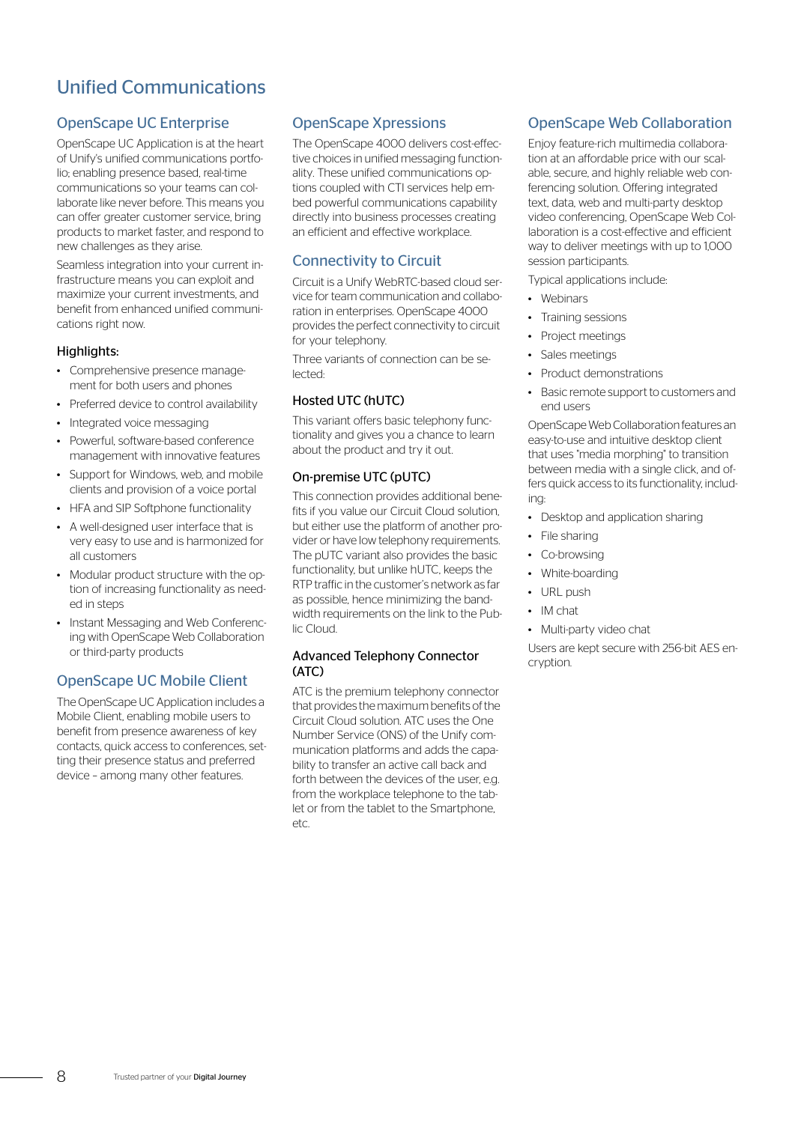# Unified Communications

# OpenScape UC Enterprise

OpenScape UC Application is at the heart of Unify's unified communications portfolio; enabling presence based, real-time communications so your teams can collaborate like never before. This means you can offer greater customer service, bring products to market faster, and respond to new challenges as they arise.

Seamless integration into your current infrastructure means you can exploit and maximize your current investments, and benefit from enhanced unified communications right now.

#### Highlights:

- Comprehensive presence management for both users and phones
- Preferred device to control availability
- Integrated voice messaging
- Powerful, software-based conference management with innovative features
- Support for Windows, web, and mobile clients and provision of a voice portal
- HFA and SIP Softphone functionality
- A well-designed user interface that is very easy to use and is harmonized for all customers
- Modular product structure with the option of increasing functionality as needed in steps
- Instant Messaging and Web Conferencing with OpenScape Web Collaboration or third-party products

## OpenScape UC Mobile Client

The OpenScape UC Application includes a Mobile Client, enabling mobile users to benefit from presence awareness of key contacts, quick access to conferences, setting their presence status and preferred device – among many other features.

#### OpenScape Xpressions

The OpenScape 4000 delivers cost-effective choices in unified messaging functionality. These unified communications options coupled with CTI services help embed powerful communications capability directly into business processes creating an efficient and effective workplace.

# Connectivity to Circuit

Circuit is a Unify WebRTC-based cloud service for team communication and collaboration in enterprises. OpenScape 4000 provides the perfect connectivity to circuit for your telephony.

Three variants of connection can be selected:

#### Hosted UTC (hUTC)

This variant offers basic telephony functionality and gives you a chance to learn about the product and try it out.

#### On-premise UTC (pUTC)

This connection provides additional benefits if you value our Circuit Cloud solution, but either use the platform of another provider or have low telephony requirements. The pUTC variant also provides the basic functionality, but unlike hUTC, keeps the RTP traffic in the customer's network as far as possible, hence minimizing the bandwidth requirements on the link to the Public Cloud.

#### Advanced Telephony Connector (ATC)

ATC is the premium telephony connector that provides the maximum benefits of the Circuit Cloud solution. ATC uses the One Number Service (ONS) of the Unify communication platforms and adds the capability to transfer an active call back and forth between the devices of the user, e.g. from the workplace telephone to the tablet or from the tablet to the Smartphone, etc.

# OpenScape Web Collaboration

Enjoy feature-rich multimedia collaboration at an affordable price with our scalable, secure, and highly reliable web conferencing solution. Offering integrated text, data, web and multi-party desktop video conferencing, OpenScape Web Collaboration is a cost-effective and efficient way to deliver meetings with up to 1,000 session participants.

Typical applications include:

- Webinars
- Training sessions
- Project meetings
- Sales meetings
- Product demonstrations
- Basic remote support to customers and end users

OpenScape Web Collaboration features an easy-to-use and intuitive desktop client that uses "media morphing" to transition between media with a single click, and offers quick access to its functionality, including:

- Desktop and application sharing
- File sharing
- Co-browsing
- White-boarding
- URL push
- IM chat
- Multi-party video chat

Users are kept secure with 256-bit AES encryption.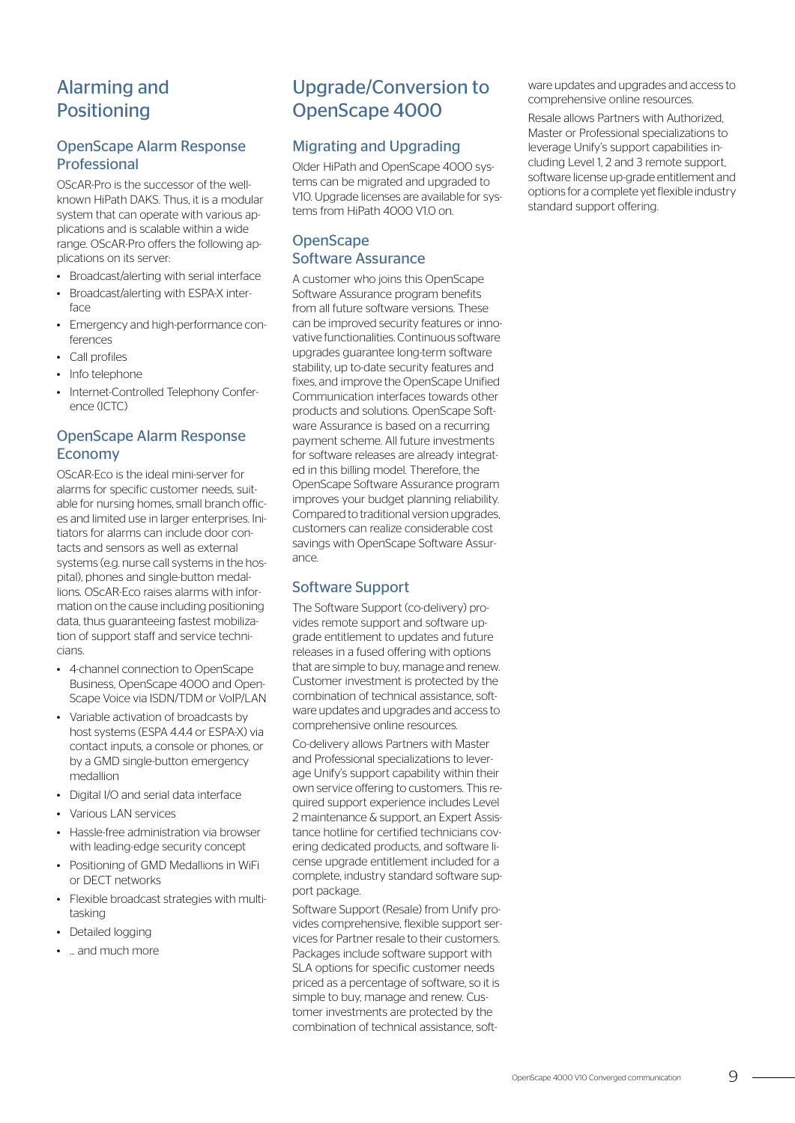# Alarming and **Positioning**

## OpenScape Alarm Response Professional

OScAR-Pro is the successor of the wellknown HiPath DAKS. Thus, it is a modular system that can operate with various applications and is scalable within a wide range. OScAR-Pro offers the following applications on its server:

- Broadcast/alerting with serial interface
- Broadcast/alerting with ESPA-X interface
- Emergency and high-performance conferences
- Call profiles
- Info telephone
- Internet-Controlled Telephony Conference (ICTC)

# OpenScape Alarm Response Economy

OScAR-Eco is the ideal mini-server for alarms for specific customer needs, suitable for nursing homes, small branch offices and limited use in larger enterprises. Initiators for alarms can include door contacts and sensors as well as external systems (e.g. nurse call systems in the hospital), phones and single-button medallions. OScAR-Eco raises alarms with information on the cause including positioning data, thus guaranteeing fastest mobilization of support staff and service technicians.

- 4-channel connection to OpenScape Business, OpenScape 4000 and Open-Scape Voice via ISDN/TDM or VoIP/LAN
- Variable activation of broadcasts by host systems (ESPA 4.4.4 or ESPA-X) via contact inputs, a console or phones, or by a GMD single-button emergency medallion
- Digital I/O and serial data interface
- Various LAN services
- Hassle-free administration via browser with leading-edge security concept
- Positioning of GMD Medallions in WiFi or DECT networks
- Flexible broadcast strategies with multitasking
- Detailed logging
- ... and much more

# Upgrade/Conversion to OpenScape 4000

#### Migrating and Upgrading

Older HiPath and OpenScape 4000 systems can be migrated and upgraded to V10. Upgrade licenses are available for systems from HiPath 4000 V10 on.

# **OpenScape** Software Assurance

A customer who joins this OpenScape Software Assurance program benefits from all future software versions. These can be improved security features or innovative functionalities. Continuous software upgrades guarantee long-term software stability, up to-date security features and fixes, and improve the OpenScape Unified Communication interfaces towards other products and solutions. OpenScape Software Assurance is based on a recurring payment scheme. All future investments for software releases are already integrated in this billing model. Therefore, the OpenScape Software Assurance program improves your budget planning reliability. Compared to traditional version upgrades, customers can realize considerable cost savings with OpenScape Software Assurance.

#### Software Support

The Software Support (co-delivery) provides remote support and software upgrade entitlement to updates and future releases in a fused offering with options that are simple to buy, manage and renew. Customer investment is protected by the combination of technical assistance, software updates and upgrades and access to comprehensive online resources.

Co-delivery allows Partners with Master and Professional specializations to leverage Unify's support capability within their own service offering to customers. This required support experience includes Level 2 maintenance & support, an Expert Assistance hotline for certified technicians covering dedicated products, and software license upgrade entitlement included for a complete, industry standard software support package.

Software Support (Resale) from Unify provides comprehensive, flexible support services for Partner resale to their customers. Packages include software support with SLA options for specific customer needs priced as a percentage of software, so it is simple to buy, manage and renew. Customer investments are protected by the combination of technical assistance, software updates and upgrades and access to comprehensive online resources.

Resale allows Partners with Authorized, Master or Professional specializations to leverage Unify's support capabilities including Level 1, 2 and 3 remote support, software license up-grade entitlement and options for a complete yet flexible industry standard support offering.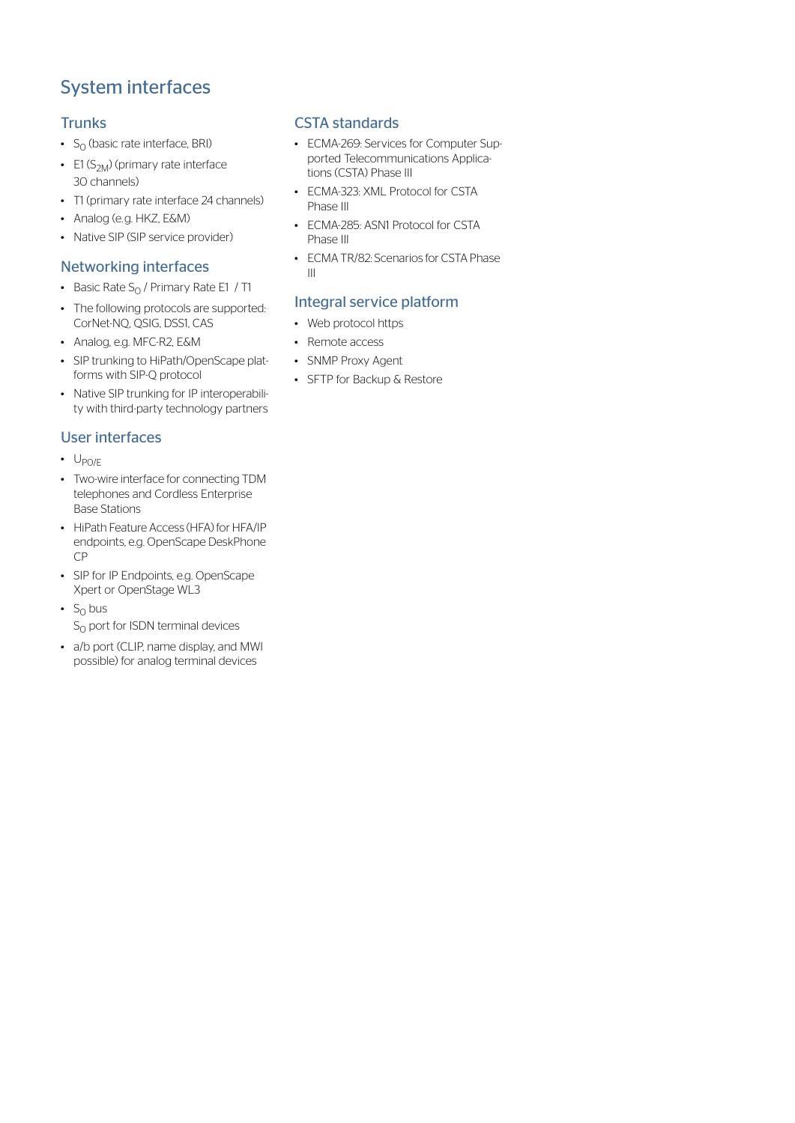# System interfaces

## **Trunks**

- $S_0$  (basic rate interface, BRI)
- E1  $(S_{2M})$  (primary rate interface 30 channels)
- T1 (primary rate interface 24 channels)
- Analog (e.g. HKZ, E&M)
- Native SIP (SIP service provider)

# Networking interfaces

- Basic Rate  $S_0$  / Primary Rate E1 / T1
- The following protocols are supported: CorNet-NQ, QSIG, DSS1, CAS
- Analog, e.g. MFC-R2, E&M
- SIP trunking to HiPath/OpenScape platforms with SIP-Q protocol
- Native SIP trunking for IP interoperability with third-party technology partners

# User interfaces

- $\cdot$  U<sub>PO/E</sub>
- Two-wire interface for connecting TDM telephones and Cordless Enterprise Base Stations
- HiPath Feature Access (HFA) for HFA/IP endpoints, e.g. OpenScape DeskPhone CP
- SIP for IP Endpoints, e.g. OpenScape Xpert or OpenStage WL3
- $S_0$  bus  $S<sub>0</sub>$  port for ISDN terminal devices
- a/b port (CLIP, name display, and MWI possible) for analog terminal devices

## CSTA standards

- ECMA-269: Services for Computer Supported Telecommunications Applications (CSTA) Phase III
- ECMA-323: XML Protocol for CSTA Phase III
- ECMA-285: ASN1 Protocol for CSTA Phase III
- ECMA TR/82: Scenarios for CSTA Phase III

# Integral service platform

- Web protocol https
- Remote access
- SNMP Proxy Agent
- SFTP for Backup & Restore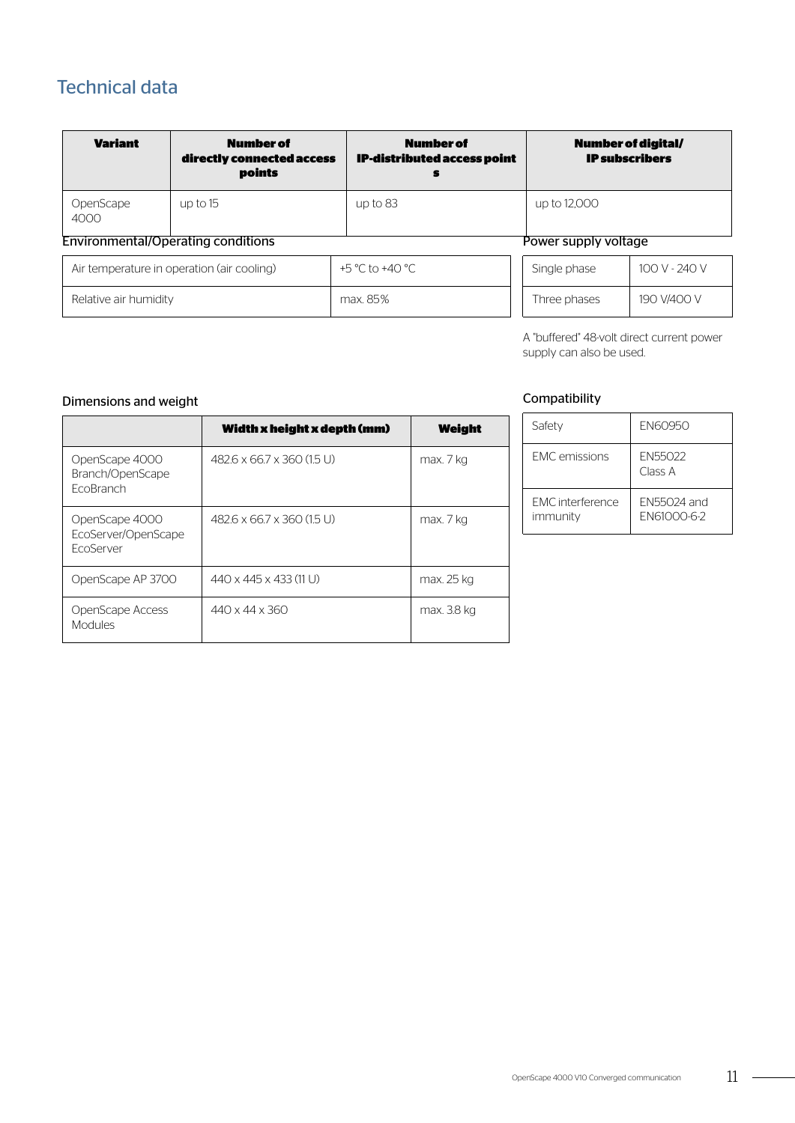# Technical data

| <b>Variant</b>                                                    | <b>Number of</b><br>directly connected access<br>points | <b>Number of</b><br><b>IP-distributed access point</b><br>s | Number of digital/<br><b>IP subscribers</b> |               |
|-------------------------------------------------------------------|---------------------------------------------------------|-------------------------------------------------------------|---------------------------------------------|---------------|
| OpenScape<br>4000                                                 | up to $15$                                              | up to $83$                                                  | up to 12,000                                |               |
| <b>Environmental/Operating conditions</b><br>Power supply voltage |                                                         |                                                             |                                             |               |
| Air temperature in operation (air cooling)                        |                                                         | +5 °C to +40 °C                                             | Single phase                                | 100 V - 240 V |
| Relative air humidity                                             |                                                         | max. 85%                                                    | Three phases                                | 190 V/400 V   |

A "buffered" 48-volt direct current power supply can also be used.

#### Dimensions and weight

|                                                           | Width x height x depth (mm)        | Weight      |
|-----------------------------------------------------------|------------------------------------|-------------|
| OpenScape 4000<br>Branch/OpenScape<br>EcoBranch           | 482.6 x 66.7 x 360 (1.5 U)         | max. 7 kg   |
| OpenScape 4000<br>EcoServer/OpenScape<br><b>FcoServer</b> | 482.6 x 66.7 x 360 (1.5 U)         | max. 7 kg   |
| OpenScape AP 3700                                         | $440 \times 445 \times 433$ (11 U) | max. 25 kg  |
| OpenScape Access<br><b>Modules</b>                        | $440 \times 44 \times 360$         | max. 3.8 kg |

# Compatibility

| Safety                       | <b>FN60950</b>                    |
|------------------------------|-----------------------------------|
| <b>FMC</b> emissions         | <b>FN55022</b><br>Class A         |
| FMC interference<br>immunity | FN55024 and<br><b>FN61000-6-2</b> |